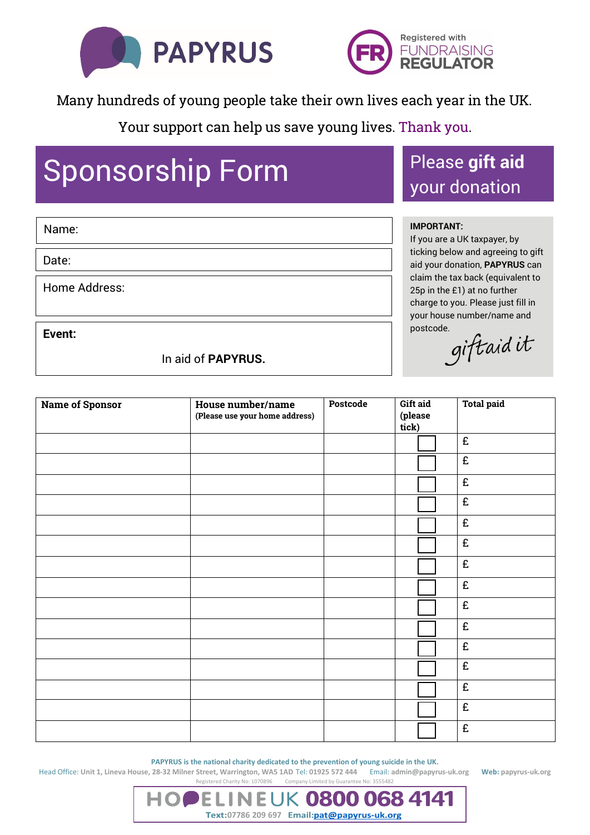



Many hundreds of young people take their own lives each year in the UK.

Your support can help us save young lives. Thank you.

## Sponsorship Form Please gift aid

## your donation

## **IMPORTANT:**

If you are a UK taxpayer, by ticking below and agreeing to gift aid your donation, **PAPYRUS** can claim the tax back (equivalent to 25p in the £1) at no further charge to you. Please just fill in your house number/name and postcode.<br>giftaid it

**Event:**

Home Address:

Name:

Date:

In aid of **PAPYRUS.**

| <b>Name of Sponsor</b> | House number/name<br>(Please use your home address) | Postcode | Gift aid<br>(please<br>tick) | <b>Total paid</b> |
|------------------------|-----------------------------------------------------|----------|------------------------------|-------------------|
|                        |                                                     |          |                              | £                 |
|                        |                                                     |          |                              | £                 |
|                        |                                                     |          |                              | £                 |
|                        |                                                     |          |                              | £                 |
|                        |                                                     |          |                              | £                 |
|                        |                                                     |          |                              | £                 |
|                        |                                                     |          |                              | £                 |
|                        |                                                     |          |                              | £                 |
|                        |                                                     |          |                              | £                 |
|                        |                                                     |          |                              | £                 |
|                        |                                                     |          |                              | £                 |
|                        |                                                     |          |                              | £                 |
|                        |                                                     |          |                              | £                 |
|                        |                                                     |          |                              | £                 |
|                        |                                                     |          |                              | £                 |

**PAPYRUS is the national charity dedicated to the prevention of young suicide in the UK.**

Text:07786 209 697 Email:pat@papyrus-uk.org

0800

0684141

Head Office: **Unit 1, Lineva House, 28-32 Milner Street, Warrington, WA5 1AD** Tel: **01925 572 444** Email: **admin@papyrus-uk.org Web: papyrus-uk.org** Registered Charity No: 1070896Company Limited by Guarantee No: 3555482

FΙ